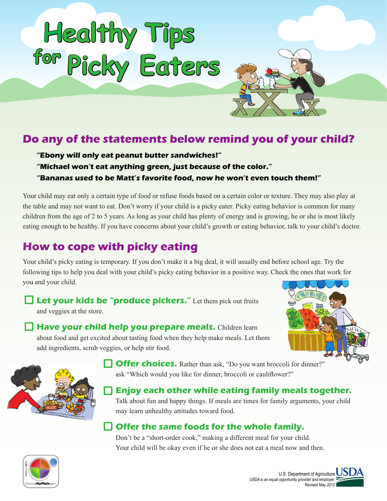

## **Do any of the statements below remind you of your child?**

#### **"Ebony will only eat peanut butter sandwiches!" "Michael won't eat anything green, just because of the color." "Bananas used to be Matt's favorite food, now he won't even touch them!"**

Your child may eat only a certain type of food or refuse foods based on a certain color or texture. They may also play at the table and may not want to eat. Don't worry if your child is a picky eater. Picky eating behavior is common for many children from the age of 2 to 5 years. As long as your child has plenty of energy and is growing, he or she is most likely eating enough to be healthy. If you have concerns about your child's growth or eating behavior, talk to your child's doctor.

# **How to cope with picky eating**

Your child's picky eating is temporary. If you don't make it a big deal, it will usually end before school age. Try the following tips to help you deal with your child's picky eating behavior in a positive way. Check the ones that work for you and your child.

**Let your kids be "produce pickers."** Let them pick out fruits and veggies at the store.

**Have your child help you prepare meals.** Children learn about food and get excited about tasting food when they help make meals. Let them add ingredients, scrub veggies, or help stir food.





**Offer choices.** Rather than ask, "Do you want broccoli for dinner?" ask "Which would you like for dinner, broccoli or cauliflower?"

 **Enjoy each other while eating family meals together.** Talk about fun and happy things. If meals are times for family arguments, your child may learn unhealthy attitudes toward food.

## **Offer the same foods for the whole family.**

Don't be a "short-order cook," making a different meal for your child. Your child will be okay even if he or she does not eat a meal now and then.



U.S. Department of Agriculture  $\textcolor{red}{\bigcup} \textcolor{blue}{S}$ USDA is an equal opportunity provider and employer. Revised May 2012